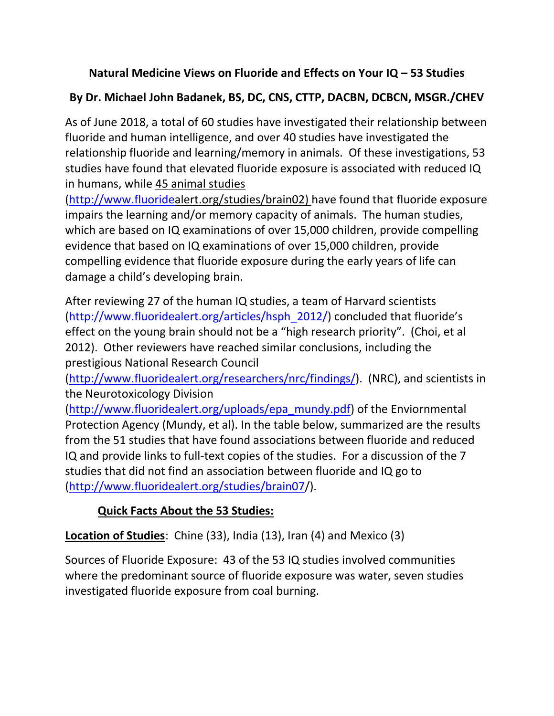# **Natural Medicine Views on Fluoride and Effects on Your IQ – 53 Studies**

## **By Dr. Michael John Badanek, BS, DC, CNS, CTTP, DACBN, DCBCN, MSGR./CHEV**

As of June 2018, a total of 60 studies have investigated their relationship between fluoride and human intelligence, and over 40 studies have investigated the relationship fluoride and learning/memory in animals. Of these investigations, 53 studies have found that elevated fluoride exposure is associated with reduced IQ in humans, while 45 animal studies

[\(http://www.fluoridea](http://www.fluoride/)lert.org/studies/brain02) have found that fluoride exposure impairs the learning and/or memory capacity of animals. The human studies, which are based on IQ examinations of over 15,000 children, provide compelling evidence that based on IQ examinations of over 15,000 children, provide compelling evidence that fluoride exposure during the early years of life can damage a child's developing brain.

After reviewing 27 of the human IQ studies, a team of Harvard scientists [\(http://www.fluoridealert.org/articles/hsph\\_2012/](http://www.fluoridealert.org/articles/hsph_2012/)) concluded that fluoride's effect on the young brain should not be a "high research priority". (Choi, et al 2012). Other reviewers have reached similar conclusions, including the prestigious National Research Council

[\(http://www.fluoridealert.org/researchers/nrc/findings/\)](http://www.fluoridealert.org/researchers/nrc/findings/). (NRC), and scientists in the Neurotoxicology Division

[\(http://www.fluoridealert.org/uploads/epa\\_mundy.pdf\)](http://www.fluoridealert.org/uploads/epa_mundy.pdf) of the Enviornmental Protection Agency (Mundy, et al). In the table below, summarized are the results from the 51 studies that have found associations between fluoride and reduced IQ and provide links to full-text copies of the studies. For a discussion of the 7 studies that did not find an association between fluoride and IQ go to [\(http://www.fluoridealert.org/studies/brain07/](http://www.fluoridealert.org/studies/brain07)).

# **Quick Facts About the 53 Studies:**

**Location of Studies**: Chine (33), India (13), Iran (4) and Mexico (3)

Sources of Fluoride Exposure: 43 of the 53 IQ studies involved communities where the predominant source of fluoride exposure was water, seven studies investigated fluoride exposure from coal burning.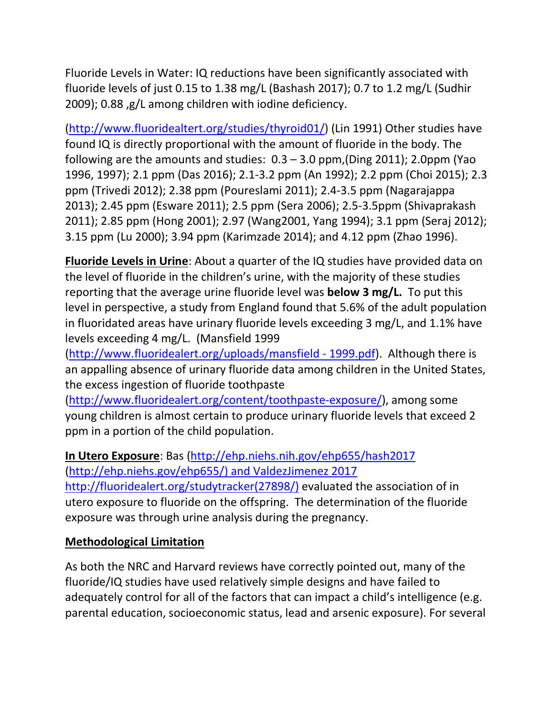Fluoride Levels in Water: IQ reductions have been significantly associated with fluoride levels of just 0.15 to 1.38 mg/L (Bashash 2017); 0.7 to 1.2 mg/L (Sudhir 2009); 0.88 ,g/L among children with iodine deficiency.

[\(http://www.fluoridealtert.org/studies/thyroid01/\)](http://www.fluoridealtert.org/studies/thyroid01/) (Lin 1991) Other studies have found IQ is directly proportional with the amount of fluoride in the body. The following are the amounts and studies: 0.3 – 3.0 ppm,(Ding 2011); 2.0ppm (Yao 1996, 1997); 2.1 ppm (Das 2016); 2.1-3.2 ppm (An 1992); 2.2 ppm (Choi 2015); 2.3 ppm (Trivedi 2012); 2.38 ppm (Poureslami 2011); 2.4-3.5 ppm (Nagarajappa 2013); 2.45 ppm (Esware 2011); 2.5 ppm (Sera 2006); 2.5-3.5ppm (Shivaprakash 2011); 2.85 ppm (Hong 2001); 2.97 (Wang2001, Yang 1994); 3.1 ppm (Seraj 2012); 3.15 ppm (Lu 2000); 3.94 ppm (Karimzade 2014); and 4.12 ppm (Zhao 1996).

**Fluoride Levels in Urine**: About a quarter of the IQ studies have provided data on the level of fluoride in the children's urine, with the majority of these studies reporting that the average urine fluoride level was **below 3 mg/L.** To put this level in perspective, a study from England found that 5.6% of the adult population in fluoridated areas have urinary fluoride levels exceeding 3 mg/L, and 1.1% have levels exceeding 4 mg/L. (Mansfield 1999

[\(http://www.fluoridealert.org/uploads/mansfield -](http://www.fluoridealert.org/uploads/mansfield%20-%201999.pdf) 1999.pdf). Although there is an appalling absence of urinary fluoride data among children in the United States, the excess ingestion of fluoride toothpaste

[\(http://www.fluoridealert.org/content/toothpaste-exposure/\)](http://www.fluoridealert.org/content/toothpaste-exposure/), among some young children is almost certain to produce urinary fluoride levels that exceed 2 ppm in a portion of the child population.

#### **In Utero Exposure**: Bas [\(http://ehp.niehs.nih.gov/ehp655/hash2017](http://ehp.niehs.nih.gov/ehp655/hash2017) [\(http://ehp.niehs.gov/ehp655/\) and ValdezJimenez 2017](http://ehp.niehs.gov/ehp655/)%20and%20ValdezJimenez%202017%20http:/fluoridealert.org/studytracker(27898/))

[http://fluoridealert.org/studytracker\(27898/\)](http://ehp.niehs.gov/ehp655/)%20and%20ValdezJimenez%202017%20http:/fluoridealert.org/studytracker(27898/)) evaluated the association of in utero exposure to fluoride on the offspring. The determination of the fluoride exposure was through urine analysis during the pregnancy.

## **Methodological Limitation**

As both the NRC and Harvard reviews have correctly pointed out, many of the fluoride/IQ studies have used relatively simple designs and have failed to adequately control for all of the factors that can impact a child's intelligence (e.g. parental education, socioeconomic status, lead and arsenic exposure). For several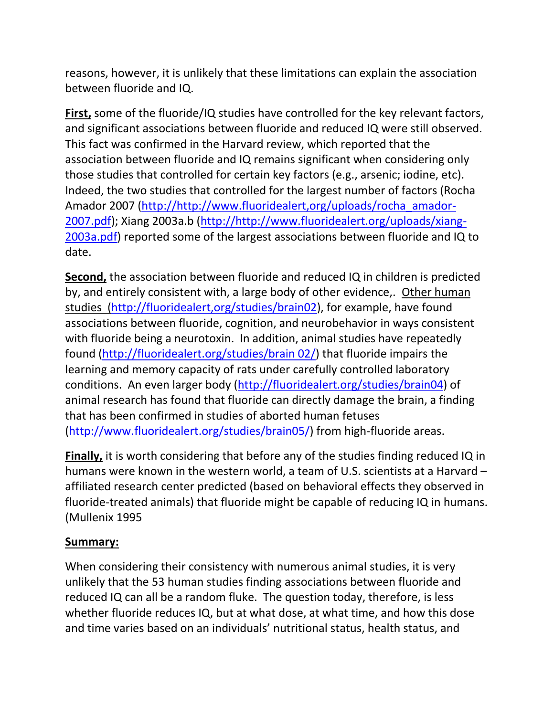reasons, however, it is unlikely that these limitations can explain the association between fluoride and IQ.

**First,** some of the fluoride/IQ studies have controlled for the key relevant factors, and significant associations between fluoride and reduced IQ were still observed. This fact was confirmed in the Harvard review, which reported that the association between fluoride and IQ remains significant when considering only those studies that controlled for certain key factors (e.g., arsenic; iodine, etc). Indeed, the two studies that controlled for the largest number of factors (Rocha Amador 2007 [\(http://http://www.fluoridealert,org/uploads/rocha\\_amador-](http://http/www.fluoridealert,org/uploads/rocha_amador-2007.pdf)[2007.pdf\)](http://http/www.fluoridealert,org/uploads/rocha_amador-2007.pdf); Xiang 2003a.b [\(http://http://www.fluoridealert.org/uploads/xiang-](http://http/www.fluoridealert.org/uploads/xiang-2003a.pdf)[2003a.pdf\)](http://http/www.fluoridealert.org/uploads/xiang-2003a.pdf) reported some of the largest associations between fluoride and IQ to date.

**Second,** the association between fluoride and reduced IQ in children is predicted by, and entirely consistent with, a large body of other evidence,. Other human studies [\(http://fluoridealert,org/studies/brain02\)](http://fluoridealert,org/studies/brain02), for example, have found associations between fluoride, cognition, and neurobehavior in ways consistent with fluoride being a neurotoxin. In addition, animal studies have repeatedly found [\(http://fluoridealert.org/studies/brain 02/\)](http://fluoridealert.org/studies/brain%2002/) that fluoride impairs the learning and memory capacity of rats under carefully controlled laboratory conditions. An even larger body [\(http://fluoridealert.org/studies/brain04\)](http://fluoridealert.org/studies/brain04) of animal research has found that fluoride can directly damage the brain, a finding that has been confirmed in studies of aborted human fetuses [\(http://www.fluoridealert.org/studies/brain05/\)](http://www.fluoridealert.org/studies/brain05/) from high-fluoride areas.

**Finally,** it is worth considering that before any of the studies finding reduced IQ in humans were known in the western world, a team of U.S. scientists at a Harvard – affiliated research center predicted (based on behavioral effects they observed in fluoride-treated animals) that fluoride might be capable of reducing IQ in humans. (Mullenix 1995

## **Summary:**

When considering their consistency with numerous animal studies, it is very unlikely that the 53 human studies finding associations between fluoride and reduced IQ can all be a random fluke. The question today, therefore, is less whether fluoride reduces IQ, but at what dose, at what time, and how this dose and time varies based on an individuals' nutritional status, health status, and